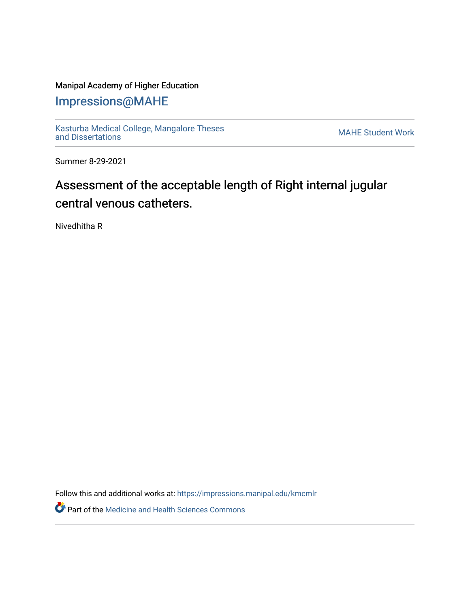### Manipal Academy of Higher Education

# [Impressions@MAHE](https://impressions.manipal.edu/)

[Kasturba Medical College, Mangalore Theses](https://impressions.manipal.edu/kmcmlr) Kasturba Medical College, Mangalore Theses<br>[and Dissertations](https://impressions.manipal.edu/kmcmlr) MAHE Student Work

Summer 8-29-2021

# Assessment of the acceptable length of Right internal jugular central venous catheters.

Nivedhitha R

Follow this and additional works at: [https://impressions.manipal.edu/kmcmlr](https://impressions.manipal.edu/kmcmlr?utm_source=impressions.manipal.edu%2Fkmcmlr%2F252&utm_medium=PDF&utm_campaign=PDFCoverPages) 

**Part of the Medicine and Health Sciences Commons**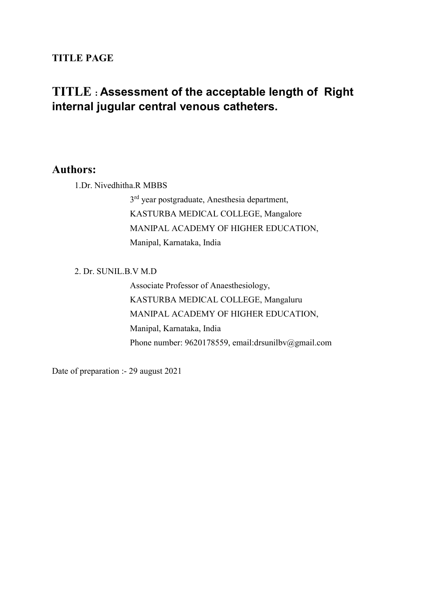### TITLE PAGE

## TITLE : Assessment of the acceptable length of Right internal jugular central venous catheters.

### Authors:

1.Dr. Nivedhitha.R MBBS

3<sup>rd</sup> year postgraduate, Anesthesia department, KASTURBA MEDICAL COLLEGE, Mangalore MANIPAL ACADEMY OF HIGHER EDUCATION, Manipal, Karnataka, India

#### 2. Dr. SUNIL.B.V M.D

Associate Professor of Anaesthesiology, KASTURBA MEDICAL COLLEGE, Mangaluru MANIPAL ACADEMY OF HIGHER EDUCATION, Manipal, Karnataka, India Phone number: 9620178559, email:drsunilbv@gmail.com

Date of preparation :- 29 august 2021